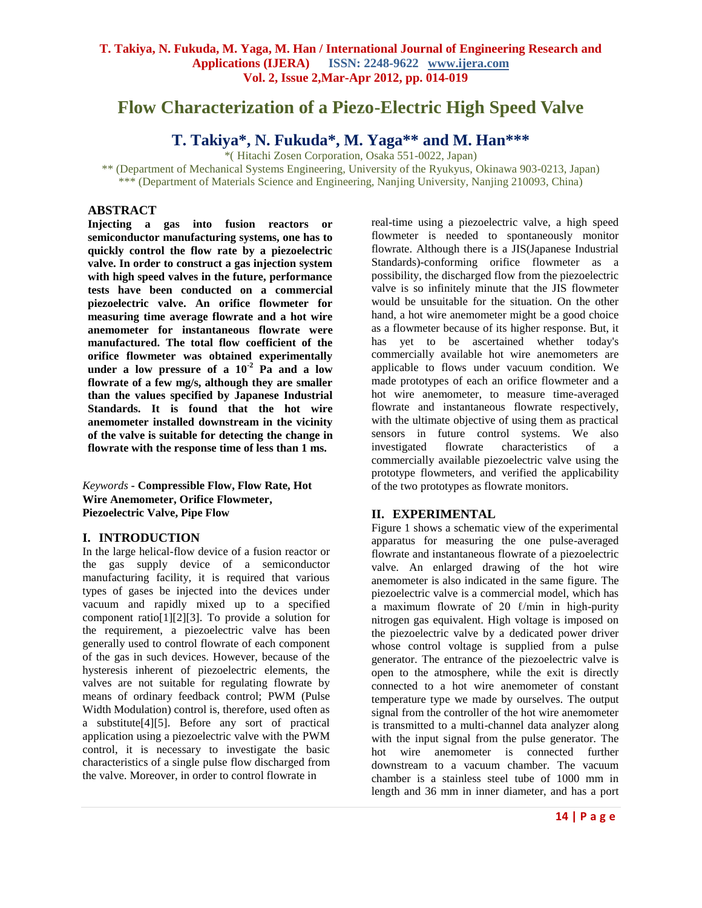# **Flow Characterization of a Piezo-Electric High Speed Valve**

# **T. Takiya\*, N. Fukuda\*, M. Yaga\*\* and M. Han\*\*\***

\*( Hitachi Zosen Corporation, Osaka 551-0022, Japan)

\*\* (Department of Mechanical Systems Engineering, University of the Ryukyus, Okinawa 903-0213, Japan) \*\*\* (Department of Materials Science and Engineering, Nanjing University, Nanjing 210093, China)

#### **ABSTRACT**

**Injecting a gas into fusion reactors or semiconductor manufacturing systems, one has to quickly control the flow rate by a piezoelectric valve. In order to construct a gas injection system with high speed valves in the future, performance tests have been conducted on a commercial piezoelectric valve. An orifice flowmeter for measuring time average flowrate and a hot wire anemometer for instantaneous flowrate were manufactured. The total flow coefficient of the orifice flowmeter was obtained experimentally**  under a low pressure of a  $10^{-2}$  **Pa and a low flowrate of a few mg/s, although they are smaller than the values specified by Japanese Industrial Standards. It is found that the hot wire anemometer installed downstream in the vicinity of the valve is suitable for detecting the change in flowrate with the response time of less than 1 ms.**

*Keywords* **- Compressible Flow, Flow Rate, Hot Wire Anemometer, Orifice Flowmeter, Piezoelectric Valve, Pipe Flow**

# **I. INTRODUCTION**

In the large helical-flow device of a fusion reactor or the gas supply device of a semiconductor manufacturing facility, it is required that various types of gases be injected into the devices under vacuum and rapidly mixed up to a specified component ratio[1][2][3]. To provide a solution for the requirement, a piezoelectric valve has been generally used to control flowrate of each component of the gas in such devices. However, because of the hysteresis inherent of piezoelectric elements, the valves are not suitable for regulating flowrate by means of ordinary feedback control; PWM (Pulse Width Modulation) control is, therefore, used often as a substitute[4][5]. Before any sort of practical application using a piezoelectric valve with the PWM control, it is necessary to investigate the basic characteristics of a single pulse flow discharged from the valve. Moreover, in order to control flowrate in

real-time using a piezoelectric valve, a high speed flowmeter is needed to spontaneously monitor flowrate. Although there is a JIS(Japanese Industrial Standards)-conforming orifice flowmeter as a possibility, the discharged flow from the piezoelectric valve is so infinitely minute that the JIS flowmeter would be unsuitable for the situation. On the other hand, a hot wire anemometer might be a good choice as a flowmeter because of its higher response. But, it has yet to be ascertained whether today's commercially available hot wire anemometers are applicable to flows under vacuum condition. We made prototypes of each an orifice flowmeter and a hot wire anemometer, to measure time-averaged flowrate and instantaneous flowrate respectively, with the ultimate objective of using them as practical sensors in future control systems. We also investigated flowrate characteristics of a commercially available piezoelectric valve using the prototype flowmeters, and verified the applicability of the two prototypes as flowrate monitors.

# **II. EXPERIMENTAL**

Figure 1 shows a schematic view of the experimental apparatus for measuring the one pulse-averaged flowrate and instantaneous flowrate of a piezoelectric valve. An enlarged drawing of the hot wire anemometer is also indicated in the same figure. The piezoelectric valve is a commercial model, which has a maximum flowrate of 20  $\ell$ /min in high-purity nitrogen gas equivalent. High voltage is imposed on the piezoelectric valve by a dedicated power driver whose control voltage is supplied from a pulse generator. The entrance of the piezoelectric valve is open to the atmosphere, while the exit is directly connected to a hot wire anemometer of constant temperature type we made by ourselves. The output signal from the controller of the hot wire anemometer is transmitted to a multi-channel data analyzer along with the input signal from the pulse generator. The hot wire anemometer is connected further downstream to a vacuum chamber. The vacuum chamber is a stainless steel tube of 1000 mm in length and 36 mm in inner diameter, and has a port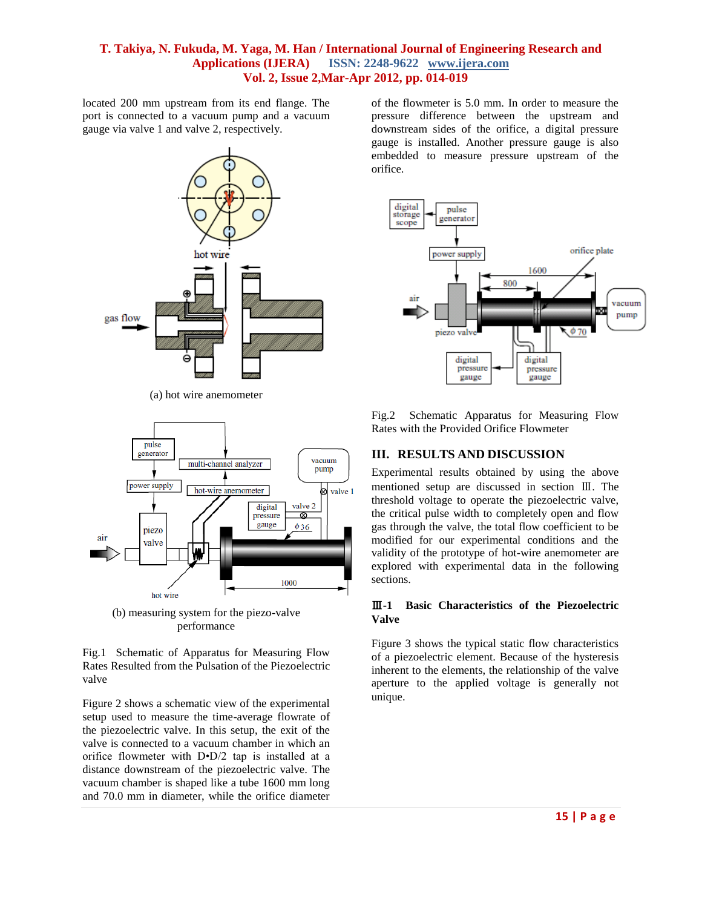located 200 mm upstream from its end flange. The port is connected to a vacuum pump and a vacuum gauge via valve 1 and valve 2, respectively.



(a) hot wire anemometer



(b) measuring system for the piezo-valve performance

Fig.1 Schematic of Apparatus for Measuring Flow Rates Resulted from the Pulsation of the Piezoelectric valve

Figure 2 shows a schematic view of the experimental setup used to measure the time-average flowrate of the piezoelectric valve. In this setup, the exit of the valve is connected to a vacuum chamber in which an orifice flowmeter with D•D/2 tap is installed at a distance downstream of the piezoelectric valve. The vacuum chamber is shaped like a tube 1600 mm long and 70.0 mm in diameter, while the orifice diameter

of the flowmeter is 5.0 mm. In order to measure the pressure difference between the upstream and downstream sides of the orifice, a digital pressure gauge is installed. Another pressure gauge is also embedded to measure pressure upstream of the orifice.



Fig.2 Schematic Apparatus for Measuring Flow Rates with the Provided Orifice Flowmeter

# **III. RESULTS AND DISCUSSION**

Experimental results obtained by using the above mentioned setup are discussed in section Ⅲ. The threshold voltage to operate the piezoelectric valve, the critical pulse width to completely open and flow gas through the valve, the total flow coefficient to be modified for our experimental conditions and the validity of the prototype of hot-wire anemometer are explored with experimental data in the following sections.

#### Ⅲ**-1 Basic Characteristics of the Piezoelectric Valve**

Figure 3 shows the typical static flow characteristics of a piezoelectric element. Because of the hysteresis inherent to the elements, the relationship of the valve aperture to the applied voltage is generally not unique.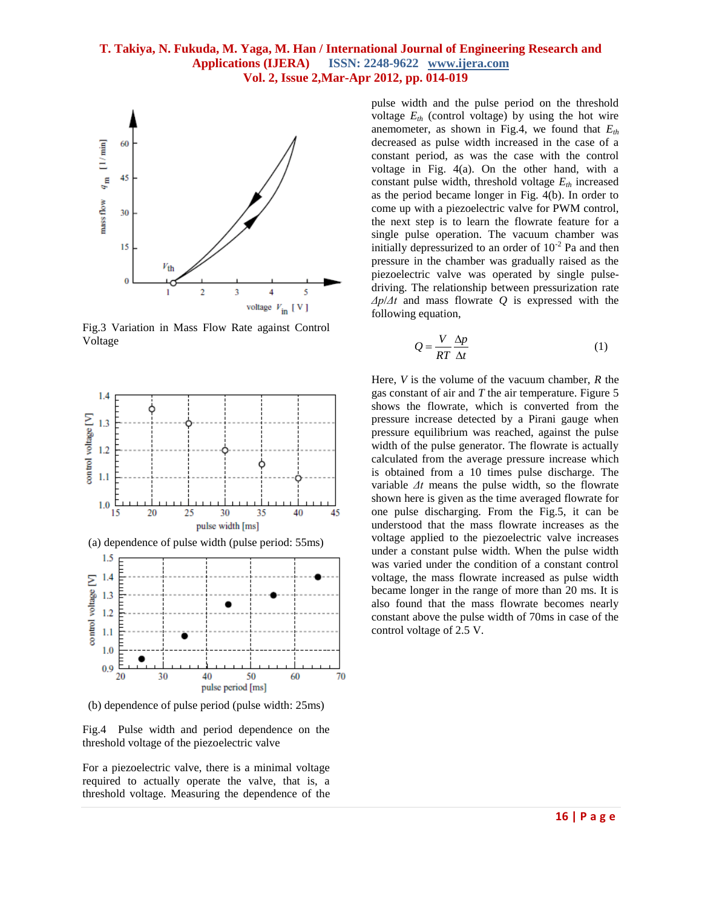

Fig.3 Variation in Mass Flow Rate against Control Voltage



(b) dependence of pulse period (pulse width: 25ms)

Fig.4 Pulse width and period dependence on the threshold voltage of the piezoelectric valve

For a piezoelectric valve, there is a minimal voltage required to actually operate the valve, that is, a threshold voltage. Measuring the dependence of the

pulse width and the pulse period on the threshold voltage  $E_{th}$  (control voltage) by using the hot wire anemometer, as shown in Fig.4, we found that *Eth* decreased as pulse width increased in the case of a constant period, as was the case with the control voltage in Fig. 4(a). On the other hand, with a constant pulse width, threshold voltage  $E<sub>th</sub>$  increased as the period became longer in Fig. 4(b). In order to come up with a piezoelectric valve for PWM control, the next step is to learn the flowrate feature for a single pulse operation. The vacuum chamber was initially depressurized to an order of  $10^{-2}$  Pa and then pressure in the chamber was gradually raised as the piezoelectric valve was operated by single pulsedriving. The relationship between pressurization rate *Δp*/*Δt* and mass flowrate *Q* is expressed with the following equation,

$$
Q = \frac{V}{RT} \frac{\Delta p}{\Delta t} \tag{1}
$$

Here, *V* is the volume of the vacuum chamber, *R* the gas constant of air and *T* the air temperature. Figure 5 shows the flowrate, which is converted from the pressure increase detected by a Pirani gauge when pressure equilibrium was reached, against the pulse width of the pulse generator. The flowrate is actually calculated from the average pressure increase which is obtained from a 10 times pulse discharge. The variable *Δt* means the pulse width, so the flowrate shown here is given as the time averaged flowrate for one pulse discharging. From the Fig.5, it can be understood that the mass flowrate increases as the voltage applied to the piezoelectric valve increases under a constant pulse width. When the pulse width was varied under the condition of a constant control voltage, the mass flowrate increased as pulse width became longer in the range of more than 20 ms. It is also found that the mass flowrate becomes nearly constant above the pulse width of 70ms in case of the control voltage of 2.5 V.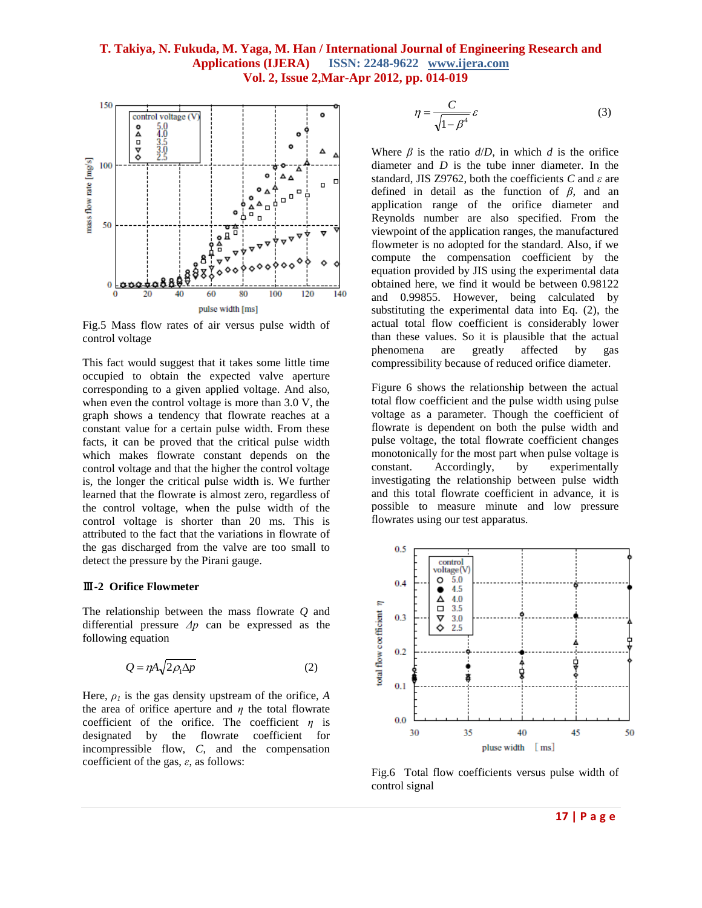

Fig.5 Mass flow rates of air versus pulse width of control voltage

This fact would suggest that it takes some little time occupied to obtain the expected valve aperture corresponding to a given applied voltage. And also, when even the control voltage is more than 3.0 V, the graph shows a tendency that flowrate reaches at a constant value for a certain pulse width. From these facts, it can be proved that the critical pulse width which makes flowrate constant depends on the control voltage and that the higher the control voltage is, the longer the critical pulse width is. We further learned that the flowrate is almost zero, regardless of the control voltage, when the pulse width of the control voltage is shorter than 20 ms. This is attributed to the fact that the variations in flowrate of the gas discharged from the valve are too small to detect the pressure by the Pirani gauge.

#### Ⅲ**-2 Orifice Flowmeter**

The relationship between the mass flowrate *Q* and differential pressure *Δp* can be expressed as the following equation

$$
Q = \eta A \sqrt{2\rho_1 \Delta p} \tag{2}
$$

Here,  $\rho_l$  is the gas density upstream of the orifice, *A* the area of orifice aperture and *η* the total flowrate coefficient of the orifice. The coefficient *η* is designated by the flowrate coefficient for incompressible flow, *C*, and the compensation coefficient of the gas, *ε*, as follows:

$$
\eta = \frac{C}{\sqrt{1 - \beta^4}} \varepsilon \tag{3}
$$

Where  $\beta$  is the ratio  $d/D$ , in which *d* is the orifice diameter and *D* is the tube inner diameter. In the standard, JIS Z9762, both the coefficients *C* and *ε* are defined in detail as the function of *β*, and an application range of the orifice diameter and Reynolds number are also specified. From the viewpoint of the application ranges, the manufactured flowmeter is no adopted for the standard. Also, if we compute the compensation coefficient by the equation provided by JIS using the experimental data obtained here, we find it would be between 0.98122 and 0.99855. However, being calculated by substituting the experimental data into Eq. (2), the actual total flow coefficient is considerably lower than these values. So it is plausible that the actual phenomena are greatly affected by gas compressibility because of reduced orifice diameter.

Figure 6 shows the relationship between the actual total flow coefficient and the pulse width using pulse voltage as a parameter. Though the coefficient of flowrate is dependent on both the pulse width and pulse voltage, the total flowrate coefficient changes monotonically for the most part when pulse voltage is constant. Accordingly, by experimentally investigating the relationship between pulse width and this total flowrate coefficient in advance, it is possible to measure minute and low pressure flowrates using our test apparatus.



Fig.6 Total flow coefficients versus pulse width of control signal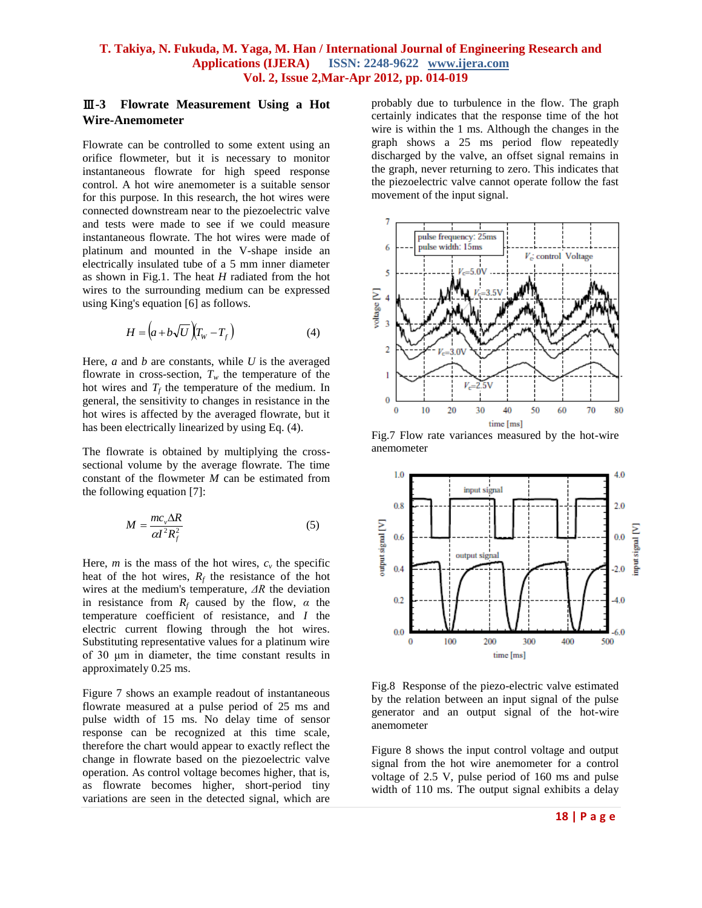# Ⅲ**-3 Flowrate Measurement Using a Hot Wire-Anemometer**

Flowrate can be controlled to some extent using an orifice flowmeter, but it is necessary to monitor instantaneous flowrate for high speed response control. A hot wire anemometer is a suitable sensor for this purpose. In this research, the hot wires were connected downstream near to the piezoelectric valve and tests were made to see if we could measure instantaneous flowrate. The hot wires were made of platinum and mounted in the V-shape inside an electrically insulated tube of a 5 mm inner diameter as shown in Fig.1. The heat *H* radiated from the hot wires to the surrounding medium can be expressed using King's equation [6] as follows.

$$
H = \left(a + b\sqrt{U}\right)\left(T_w - T_f\right) \tag{4}
$$

Here, *a* and *b* are constants, while *U* is the averaged flowrate in cross-section,  $T_w$  the temperature of the hot wires and  $T_f$  the temperature of the medium. In general, the sensitivity to changes in resistance in the hot wires is affected by the averaged flowrate, but it has been electrically linearized by using Eq. (4).

The flowrate is obtained by multiplying the crosssectional volume by the average flowrate. The time constant of the flowmeter *M* can be estimated from the following equation [7]:

$$
M = \frac{mc_v\Delta R}{\alpha I^2 R_f^2}
$$
 (5)

Here,  $m$  is the mass of the hot wires,  $c<sub>v</sub>$  the specific heat of the hot wires,  $R_f$  the resistance of the hot wires at the medium's temperature, *ΔR* the deviation in resistance from  $R_f$  caused by the flow,  $\alpha$  the temperature coefficient of resistance, and *I* the electric current flowing through the hot wires. Substituting representative values for a platinum wire of 30 μm in diameter, the time constant results in approximately 0.25 ms.

Figure 7 shows an example readout of instantaneous flowrate measured at a pulse period of 25 ms and pulse width of 15 ms. No delay time of sensor response can be recognized at this time scale, therefore the chart would appear to exactly reflect the change in flowrate based on the piezoelectric valve operation. As control voltage becomes higher, that is, as flowrate becomes higher, short-period tiny variations are seen in the detected signal, which are probably due to turbulence in the flow. The graph certainly indicates that the response time of the hot wire is within the 1 ms. Although the changes in the graph shows a 25 ms period flow repeatedly discharged by the valve, an offset signal remains in the graph, never returning to zero. This indicates that the piezoelectric valve cannot operate follow the fast movement of the input signal.



Fig.7 Flow rate variances measured by the hot-wire anemometer



Fig.8 Response of the piezo-electric valve estimated by the relation between an input signal of the pulse generator and an output signal of the hot-wire anemometer

Figure 8 shows the input control voltage and output signal from the hot wire anemometer for a control voltage of 2.5 V, pulse period of 160 ms and pulse width of 110 ms. The output signal exhibits a delay